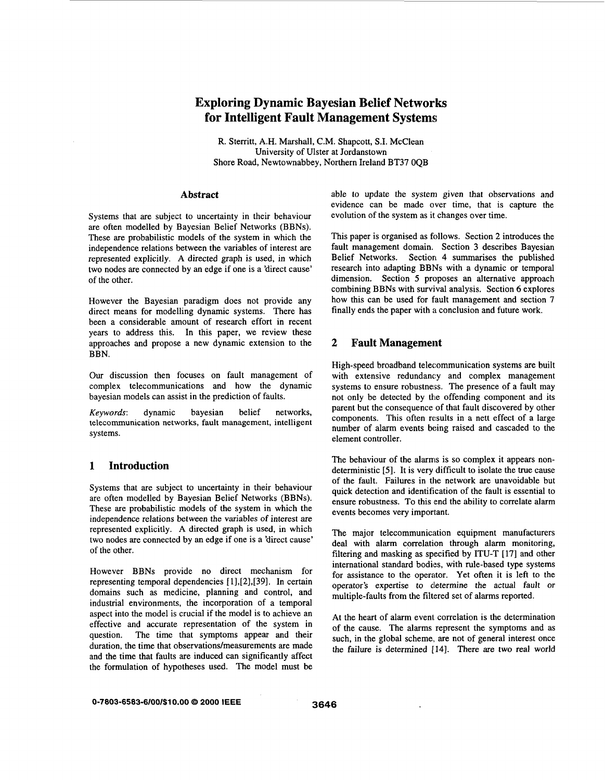# **Exploring Dynamic Bayesian Belief Networks for Intelligent Fault Management Systems**

R. Sterritt, A.H. Marshall, C.M. Shapcott, S.I. McClean University of Ulster at Jordanstown Shore Road, Newtownabbey, Northern Ireland BT37 OQB

## **Abstract**

Systems that are subject to uncertainty in their behaviour are often modelled by Bayesian Belief Networks (BBNs). These are probabilistic models of the system in which the independence relations between the variables of interest are represented explicitly. A directed graph is used, in which two nodes are connected by an edge if one is a 'direct cause' of the other.

However the Bayesian paradigm does not provide any direct means for modelling dynamic systems. There has been a considerable amount of research effort in recent years to address this. In this paper, we review these approaches and propose a new dynamic extension to the BBN.

Our discussion then focuses on fault management of complex telecommunications and how the dynamic bayesian models can assist in the prediction of faults.

*Keywords:* dynamic bayesian belief networks, telecommunication networks, fault management, intelligent systems.

# **1 Introduction**

Systems that are subject to uncertainty in their behaviour are often modelled by Bayesian Belief Networks (BBNs). These are probabilistic models of the system in which the independence relations between the variables of interest are represented explicitly. A directed graph is used, in which two nodes are connected by an edge if one is a 'direct cause' of the other.

However BBNs provide no direct mechanism for representing temporal dependencies [1],[2],[39]. In certain domains such as medicine, planning and control, and industrial environments, the incorporation of a temporal aspect into the model is crucial if the model is to achieve an effective and accurate representation of the system in question. The time that symptoms appear and their duration, the time that **observations/measurements** are made and the time that faults are induced can significantly affect the formulation of hypotheses used. The model must be able to update the system given that observations and evidence can be made over time, that is capture the evolution of the system as it changes over time.

This paper is organised as follows. Section 2 introduces the fault management domain. Section 3 describes Bayesian Belief Networks. Section **4** summarises the published research into adapting BBNs with a dynamic or temporal dimension. Section *5* proposes **an** alternative approach combining BBNs with survival analysis. Section 6 explores how this can be used for fault management and section 7 finally ends the paper with **a** conclusion and future work.

# **2 Fault Management**

High-speed broadband telecommunication systems are built with extensive redundancy and complex management systems to ensure robustness. The presence of a fault may not only be detected by the offending component and its parent but the consequence of that fault discovered by other components. This often results in a nett effect of a large number of alarm events being raised and cascaded to the element controller.

The behaviour of the alarms is so complex it appears nondeterministic *[5].* It is very difficult to isolate the true cause of the fault. Failures in the network are unavoidable but quick detection and identification of the fault is essential to ensure robustness. To this end the ability to correlate alarm events becomes very important.

The major telecommunication equipment manufacturers deal with alarm correlation through alarm monitoring, filtering and masking as specified by ITU-T [17] and other international standard bodies, with rule-based type systems for assistance to the operator. Yet often it is left to the operator's expertise to determine the actual fault or multiple-faults from the filtered set of alarms reported.

At the heart of alarm event correlation is the determination of the cause. The alarms represent the symptoms and as such, in the global scheme, are not of general interest once the failure is determined 1141. There are two real world

# **3646** *0-7803-6583-6/001\$10.00 0 2000* **IEEE**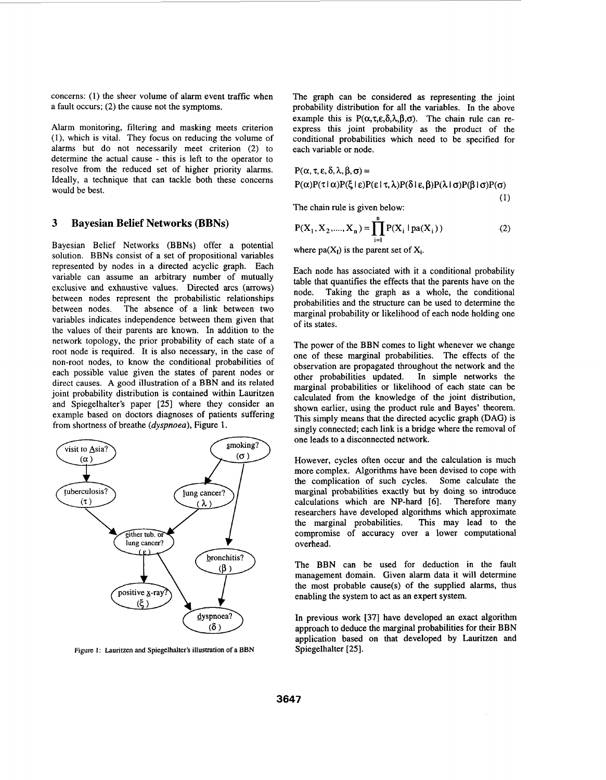concerns: (1) the sheer volume of alarm event traffic when a fault occurs; (2) the cause not the symptoms.

Alarm monitoring, filtering and masking meets criterion **(l),** which is vital. They focus on reducing the volume of alarms but do not necessarily meet criterion (2) to determine the actual cause - this is left to the operator to resolve from the reduced set of higher priority alarms. Ideally, a technique that can tackle both these concerns would be best.

# **3 Bayesian Belief Networks (BBNs)**

Bayesian Belief Networks (BBNs) offer **a** potential solution. BBNs consist of a set of propositional variables represented by nodes in a directed acyclic graph. Each variable can assume an arbitrary number of mutually exclusive and exhaustive values. Directed arcs (arrows) between nodes represent the probabilistic relationships between nodes. The absence of a link between two variables indicates independence between them given that the values of their parents are known. In addition to the network topology, the prior probability of each state of a root node is required. It is also necessary, in the case of non-root nodes, to know the conditional probabilities of each possible value given the states of parent nodes or direct causes. A good illustration of a BBN and its related joint probability distribution is contained within Lauritzen and Spiegelhalter's paper **[25]** where they consider an example based on doctors diagnoses of patients suffering from shortness of breathe (dyspnoea), Figure 1. *a* **visit to Asia?** p smoking?



Figure **1:** Lauritzen **and** Spiegelhalter's illustration of a **BBN** 

The graph can be considered **as** representing the joint probability distribution for all the variables. In the above example this is  $P(\alpha, \tau, \varepsilon, \delta, \lambda, \beta, \sigma)$ . The chain rule can reexpress this joint probability as the product of the conditional probabilities which need to be specified for each variable or node.

$$
P(\alpha, \tau, \varepsilon, \delta, \lambda, \beta, \sigma) =
$$
  
 
$$
P(\alpha)P(\tau \mid \alpha)P(\xi \mid \varepsilon)P(\varepsilon \mid \tau, \lambda)P(\delta \mid \varepsilon, \beta)P(\lambda \mid \sigma)P(\beta \mid \sigma)P(\sigma)
$$

(1) The chain rule is given below:

$$
P(X_1, X_2, ..., X_n) = \prod_{i=1}^{n} P(X_i | pa(X_i))
$$
 (2)

where  $pa(X_i)$  is the parent set of  $X_i$ .

Each node has associated with it a conditional probability table that quantifies the effects that the parents have on the node. Taking the graph as a whole, the conditional probabilities and the structure can be used to determine the marginal probability or likelihood of each node holding one of its states.

The power of the BBN comes to light whenever we change one of these marginal probabilities. The effects of the observation are propagated throughout the network and the other probabilities updated. In simple networks the other probabilities updated. marginal probabilities or likelihood of each state can be calculated from the knowledge of the joint distribution, shown earlier, using the product rule and Bayes' theorem. This simply means that the directed acyclic graph (DAG) is singly connected; each link is a bridge where the removal of one leads to a disconnected network.

However, cycles often occur and the calculation is much more complex. Algorithms have been devised to cope with the complication of such cycles. Some calculate the marginal probabilities exactly but by doing so introduce calculations which are NP-hard *[6].* Therefore many researchers have developed algorithms which approximate the marginal probabilities. This may lead to the compromise of accuracy over a lower computational overhead.

The BBN can be used for deduction in the fault management domain. Given alarm data it will determine the most probable cause(s) of the supplied alarms, thus enabling the system to act as an expert system.

In previous work **[37]** have developed **an** exact algorithm approach to deduce the marginal probabilities for their BBN application based on that developed by Lauritzen and Spiegelhalter *[25].*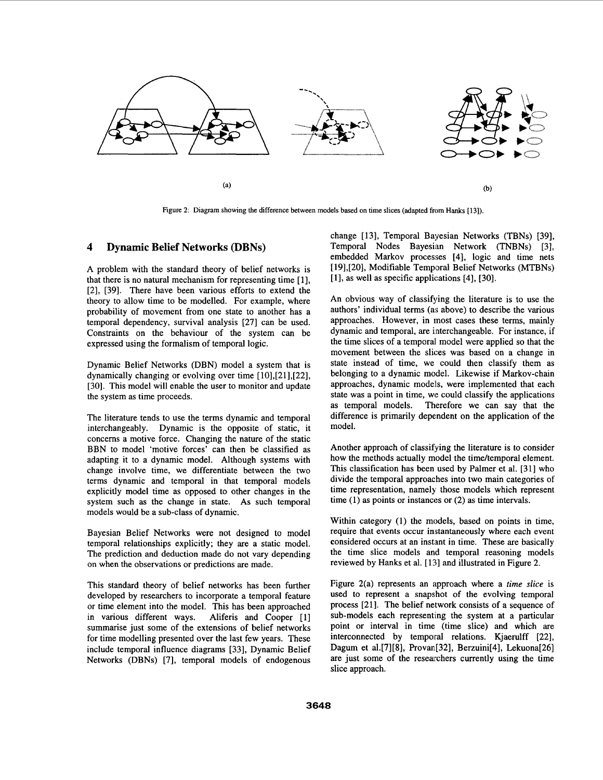

Figure 2: Diagram showing the difference between models based on time slices (adapted from Hanks [13]).

#### **4 Dynamic Belief Networks (DBNs)**

A problem with the standard theory of belief networks is that there is no natural mechanism for representing time  $[1]$ , [2], [39]. There have been various efforts to extend the theory to allow time to be modelled. For example, where probability of movement from one state to another has a temporal dependency, survival analysis [27] can be used. Constraints on the behaviour of the system can be expressed using the formalism of temporal logic.

Dynamic Belief Networks (DBN) model a system that is dynamically changing or evolving over time [ 10],[21],[22], [30]. This model will enable the user to monitor and update the system as time proceeds.

The literature tends to use the terms dynamic and temporal interchangeably. Dynamic is the opposite of static, it concerns a motive force. Changing the nature of the static BBN to model 'motive forces' can then be classified as adapting it to a dynamic model. Although systems with change involve time, we differentiate between the two terms dynamic and temporal in that temporal models explicitly model time as opposed to other changes in the system such as the change in state. As such temporal models would be a sub-class of dynamic.

Bayesian Belief Networks were not designed to model temporal relationships explicitly; they are a static model. The prediction and deduction made do not vary depending on when the observations or predictions are made.

This standard theory of belief networks has been further developed by researchers to incorporate a temporal feature or time element into the model. This has been approached in various different ways. Aliferis and Cooper [l] summarise just some of the extensions of belief networks for time modelling presented over the last few years. These include temporal influence diagrams [33], Dynamic Belief Networks (DBNs) [7], temporal models of endogenous change [13], Temporal Bayesian Networks (TBNs) [39], Temporal Nodes Bayesian Network (TNBNs) [3], embedded Markov processes [4], logic and time nets [ 19],[20], Modifiable Temporal Belief Networks (MTBNs) [l], as well as specific applications [4], [30].

An obvious way of classifying the literature is to use the authors' individual terms (as above) to describe the various approaches. However, in most cases these terms, mainly dynamic and temporal, are interchangeable. For instance, if the time slices of a temporal model were applied so that the movement between the slices was based on a change in state instead of time, we could then classify them as belonging to a dynamic model. Likewise if Markov-chain approaches, dynamic models, were implemented that each state was a point in time, we could classify the applications as temporal models. Therefore we can say that the difference is primarily dependent on the application of the model.

Another approach of classitying the literature is to consider how the methods actually model the time/temporal element. This classification has been used by Palmer et al. [31] who divide the temporal approaches into two main categories of time representation, namely those models which represent time (1) as points or instances or (2) as time intervals.

Within category (1) the models, based on points in time, require that events occur instantaneously where each event considered occurs at an instant in time. These are basically the time slice models and temporal reasoning models reviewed by Hanks et al. [13] and illustrated in Figure 2.

Figure 2(a) represents an approach where a time slice is used to represent a snapshot of the evolving temporal process [21]. The belief network consists of a sequence of sub-models each representing the system at a particular point or interval in time (time slice) and which are interconnected by temporal relations. Kjaerulff [22], Dagum et al.[7][8], Provan[32], Berzuini[4], Lekuona[26] are just some of the researchers currently using the time slice approach.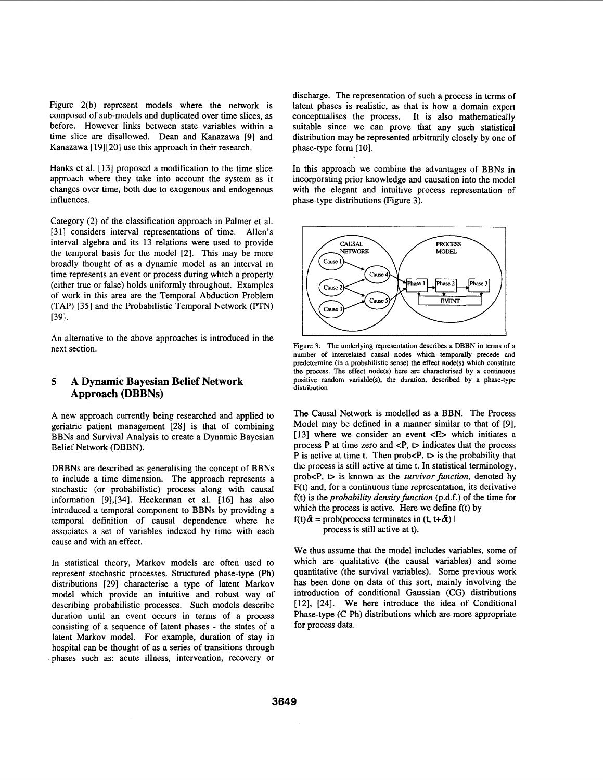Figure 2(b) represent models where the network is composed of sub-models and duplicated over time slices, as before. However links between state variables within a time slice are disallowed. Dean and Kanazawa [9] and Kanazawa [ 19][20] use this approach in their research.

Hanks et al. [13] proposed a modification to the time slice approach where they take into account the system as it changes over time, both due to exogenous and endogenous influences.

Category (2) of the classification approach in Palmer et al. [31] considers interval representations of time. Allen's interval algebra and its 13 relations were used to provide the temporal basis for the model [2]. This may be more broadly thought of as a dynamic model as an interval in time represents an event or process during which a property (either true or false) holds uniformly throughout. Examples of work in this area are the Temporal Abduction Problem (TAP) [35] and the Probabilistic Temporal Network (PTN)  $[39]$ .

An alternative to the above approaches is introduced in the next section.

# *5* **A Dynamic Bayesian Belief Network Approach (DBBNs)**

A new approach currently being researched and applied to geriatric patient management [28] is that of combining BBNs and Survival Analysis to create a Dynamic Bayesian Belief Network (DBBN).

DBBNs are described as generalising the concept of BBNs to include a time dimension. The approach represents a stochastic (or probabilistic) process along with causal information [9],[34]. Heckerman et al. [16] has also introduced a temporal component to BBNs by providing a temporal definition of causal dependence where he associates a set of variables indexed by time with each cause and with an effect.

In statistical theory, Markov models are often used to represent stochastic processes. Structured phase-type (Ph) distributions [29] characterise a type of latent Markov model which provide an intuitive and robust way of describing probabilistic processes. Such models describe duration until an event occurs in terms of a process consisting of a sequence of latent phases - the states of a latent Markov model. For example, duration of stay in hospital can be thought of as a series of transitions through phases such as: acute illness, intervention, recovery or discharge. The representation of such a process in terms of latent phases is realistic, **as** that is how a domain expert conceptualises the process. It is also mathematically suitable since we can prove that any such statistical distribution may be represented arbitrarily closely by one of phase-type form [10].

In this approach we combine the advantages of BBNs in incorporating prior knowledge and causation into the model with the elegant and intuitive process representation of phase-type distributions (Figure 3).



Figure 3: The underlying representation describes a DBBN in terms of a number of interrelated causal nodes which temporally precede and predetermine (in a probabilistic sense) the effect node(s) which constitute the process. The effect node(s) here **are** characterised by **a** continuous positive random variable(s), the duration, described by a phase-type .<br>distribution

The Causal Network is modelled as a BBN. The Process Model may be defined in a manner similar to that of [9], [13] where we consider an event  $\leq E$  which initiates a process P at time zero and  $\langle P, t \rangle$  indicates that the process P is active at time t. Then prob $\lt P$ ,  $\lt$  is the probability that the process is still active at time t. In statistical terminology, prob $\leq$ P,  $\lt$  is known as the *survivor function*, denoted by  $F(t)$  and, for a continuous time representation, its derivative f(t) is the *probability densityfunction* (p.d.f.) of the time for which the process is active. Here we define f(t) by  $f(t)\delta t = prob(process terminates in (t, t+\delta t))$ 

process is still active at t),

We thus assume that the model includes variables, some of which are qualitative (the causal variables) and some quantitative (the survival variables). Some previous work has been done on data of this sort, mainly involving the introduction of conditional Gaussian (CG) distributions [12], [24]. We here introduce the idea of Conditional Phase-type (C-Ph) distributions which are more appropriate for process data.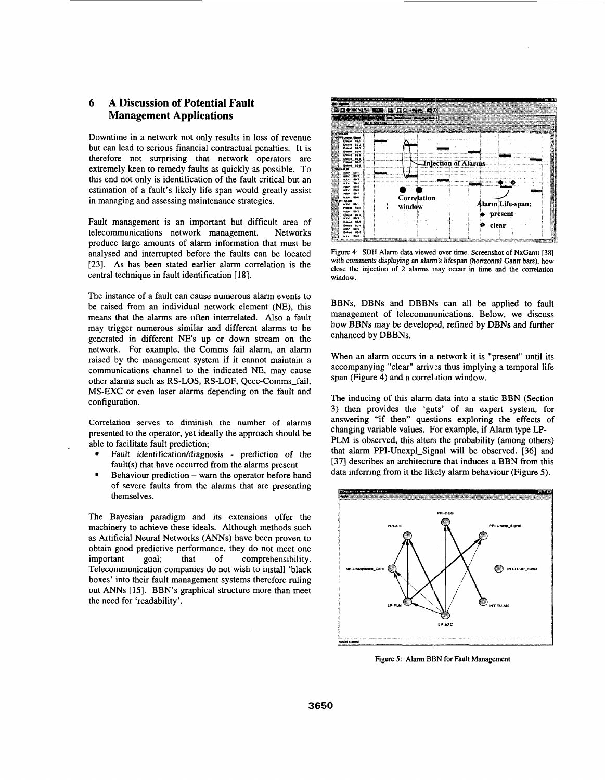# **6 A Discussion of Potential Fault Management Applications**

Downtime in a network not only results in loss of revenue but can lead to serious financial contractual penalties. It is therefore not surprising that network operators are extremely keen to remedy faults as quickly as possible. To this end not only is identification of the fault critical but an estimation of a fault's likely life span would greatly assist in managing and assessing maintenance strategies.

Fault management is an important but difficult area of telecommunications network management. Networks produce large amounts of alarm information that must be analysed and interrupted before the faults can be located **[23].** As has been stated earlier alarm correlation is the central technique in fault identification [ **181.** 

The instance of a fault can cause numerous alarm events to be raised from an individual network element (NE), this means that the alarms are often interrelated. Also a fault may trigger numerous similar and different alarms to be generated in different NE's up or down stream on the network. For example, the Comms fail alarm, an alarm raised by the management system if it cannot maintain a communications channel to the indicated **NE,** may cause other alarms such as RS-LOS, RS-LOF, Qecc-Comms\_fail, MS-EXC or even laser alarms depending on the fault and configuration.

Correlation serves to diminish the number of alarms presented to the operator, yet ideally the approach should be able to facilitate fault prediction;

- Fault identification/diagnosis prediction of the  $fault(s)$  that have occurred from the alarms present
- Behaviour prediction warn the operator before hand of severe faults from the alarms that are presenting themselves.

The Bayesian paradigm and its extensions offer the machinery to achieve these ideals. Although methods such as Artificial Neural Networks *(ANNs)* have been proven to obtain good predictive performance, they do not meet one important goal; that of comprehensibility. Telecommunication companies do not wish to install 'black boxes' into their fault management systems therefore ruling out *ANNs* **[15].** BBN's graphical structure more than meet the need for 'readability'.



**Figure 4: SDH Alarm data viewecl over time. Screenshot** of **NxGantt [38] with comments displaying an** alami's **lifespan (horizontal** Gantt **bars), how close the injection** of **2 alarms may occur in time and the correlation window.** 

BBNs, DBNs and DBBNs can all be applied to fault management of telecommimications. Below, we discuss how BBNs may be developed, refined by DBNs and further enhanced by DBBNs.

When an alarm occurs in a network it is "present" until its accompanying "clear" arriws thus implying a temporal life span (Figure 4) and a correlation window.

The inducing of this alarm data into a static BBN (Section **3)** then provides the 'guts' of an expert system, for answering "if then" questions exploring the effects of changing variable values. For example, if Alarm type LP-PLM is observed, this alters the probability (among others) that alarm PPI-Unexpl-Signal will be observed. **[36]** and **[37]** describes an architecture that induces a BBN from this data inferring from it the likely alarm behaviour (Figure *5).* 



**Figure 5: Alarm B13N for Fault Management**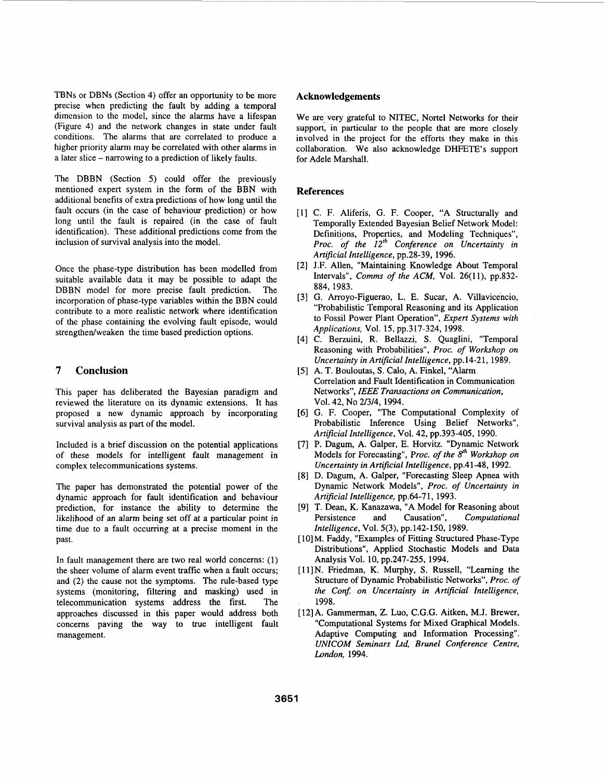TBNs or DBNs (Section 4) offer an opportunity to be more precise when predicting the fault by adding a temporal dimension to the model, since the alarms have a lifespan (Figure 4) and the network changes in state under fault conditions. The alarms that are correlated to produce a higher priority alarm may be correlated with other alarms in a later slice - narrowing to a prediction of likely faults.

The DBBN (Section 5) could offer the previously mentioned expert system in the form of the BBN with additional benefits of extra predictions of how long until the fault occurs (in the case of behaviour prediction) or how long until the fault is repaired (in the case of fault identification). These additional predictions come from the inclusion of survival analysis into the model.

Once the phase-type distribution has been modelled from suitable available data it may be possible to adapt the DBBN model for more precise fault prediction. The incorporation of phase-type variables within the BBN could contribute to a more realistic network where identification of the phase containing the evolving fault episode, would strengthen/weaken the time based prediction options.

# **7 Conclusion**

This paper has deliberated the Bayesian paradigm and reviewed the literature on its dynamic extensions. It has proposed a new dynamic approach by incorporating survival analysis as part of the model.

Included is a brief discussion on the potential applications of these models for intelligent fault management in complex telecommunications systems.

The paper has demonstrated the potential power of the dynamic approach for fault identification and behaviour prediction, for instance the ability to determine the likelihood of an alarm being set off at a particular point in time due to a fault occurring at a precise moment in the past.

In fault management there are two real world concerns: (1) the sheer volume of alarm event traffic when a fault occurs; and (2) the cause not the symptoms. The rule-based type systems (monitoring, filtering and masking) used in telecommunication systems address the first. The approaches discussed in this paper would address both concerns paving the way to true intelligent fault management.

#### **Acknowledgements**

We are very grateful to NITEC, Nortel Networks for their support, in particular to the people that are more closely involved in the project for the efforts they make in this collaboration. We also acknowledge DHFETE's support for Adele Marshall.

#### **References**

- [l] C. F. Aliferis, G. F. Cooper, "A Structurally and Temporally Extended Bayesian Belief Network Model: Definitions, Properties, and Modeling Techniques", *Proc. of the 121h Conference on Uncertainty in Artijlcial Intelligence,* pp.28-39, 1996.
- [2] J.F. Allen, "Maintaining Knowledge About Temporal Intervals", *Comms of the ACM,* Vol. 26(1 l), pp.832- 884,1983.
- **[3]** G. Arroyo-Figuerao, L. E. Sucar, A. Villavicencio, "Probabilistic Temporal Reasoning and its Application to Fossil Power Plant Operation", *Expert Systems with Applications,* Vol. 15, pp.317-324, 1998.
- [4] C. Berzuini, R. Bellazzi, **S.** Quaglini, "Temporal Reasoning with Probabilities", *Proc. of Workshop on Uncertainty in Artijlcial Intelligence,* pp.14-21, 1989.
- [5] A. T. Bouloutas, *S.* Calo, A. Finkel, "Alarm Correlation and Fault Identification in Communication Networks", *IEEE Transactions on Communication,*  Vol. 42, No 2/34, 1994.
- [6] G. F. Cooper, "The Computational Complexity of Probabilistic Inference Using Belief Networks", *Artijlcial Intelligence,* Vol. 42, pp.393-405, 1990.
- [7] P. Dagum, A. Galper, E. Horvitz. "Dynamic Network Models for Forecasting", Proc. of the 8<sup>th</sup> Workshop on *Uncertainty in Artificial Intelligence,* pp.41-48, 1992.
- [8] D. Dagum, A. Galper, "Forecasting Sleep Apnea with Dynamic Network Models", *Proc. of Uncertainty in Artijlcial Intelligence,* pp.64-7 1, 1993.
- [9] T. Dean, K. Kanazawa, "A Model for Reasoning about<br>Persistence and Causation", *Computational*  $Computational$ *Intelligence,* Vol. 5(3), pp.142-150, 1989.
- [10] M. Faddy, "Examples of Fitting Structured Phase-Type Distributions", Applied Stochastic Models and Data Analysis Vol. 10, pp.247-255, 1994.
- [11]N. Friedman, K. Murphy, **S.** Russell, "Learning the Structure of Dynamic Probabilistic Networks", *Proc. of the Con\$ on Uncertainty in Artijlcial Intelligence,*  1998.
- [12]A. Gammerman, Z. Luo, C.G.G. Aitken, M.J. Brewer, "Computational Systems for Mixed Graphical Models. Adaptive Computing and Information Processing". *UNICOM Seminars Ltd, Brunel Conference Centre, London,* 1994.